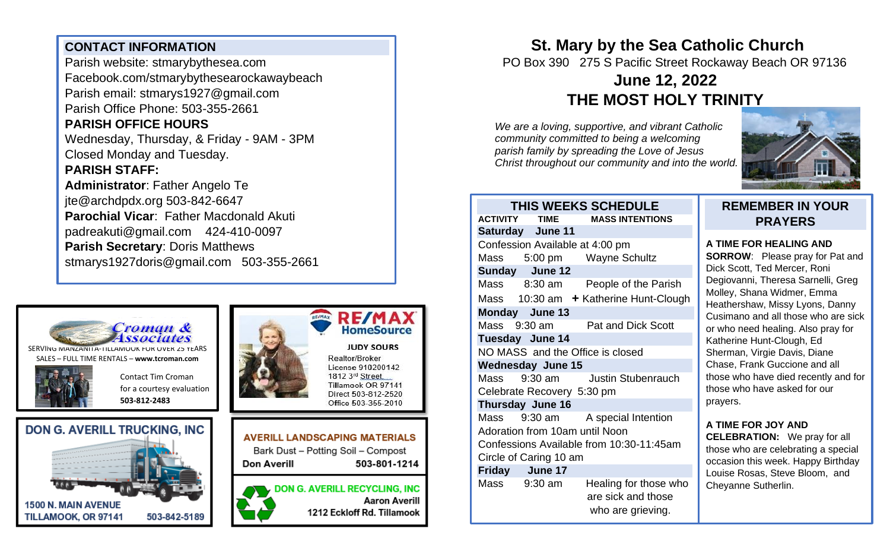## **CONTACT INFORMATION**

Parish website: stmarybythesea.com Facebook.com/stmarybythesearockawaybeach Parish email: stmarys1927@gmail.com Parish Office Phone: 503-355-2661 **PARISH OFFICE HOURS**  Wednesday, Thursday, & Friday - 9AM - 3PM Closed Monday and Tuesday.

### **PARISH STAFF:**

**Administrator**: Father Angelo Te jte@archdpdx.org 503-842-6647 **Parochial Vicar**: Father Macdonald Akuti padreakuti@gmail.com 424-410-0097 **Parish Secretary**: Doris Matthews stmarys1927doris@gmail.com 503-355-2661



SERVING MANZANITA-TILLAMOOK FOR OVER 25 YEARS SALES – FULL TIME RENTALS – **[www.tcroman.com](http://www.tcroman.com/)**

> Contact Tim Croman for a courtesy evaluation

**503-812-2483**









Realtor/Broker License 910200142 1812 3rd Street, Tillamook OR 97141 Direct 503-812-2520 Office 503-355-2010

**AVERILL LANDSCAPING MATERIALS** Bark Dust - Potting Soil - Compost Don Averill 503-801-1214

**DON G. AVERILL RECYCLING, INC Aaron Averill** 1212 Eckloff Rd. Tillamook

## **St. Mary by the Sea Catholic Church** PO Box 390 275 S Pacific Street Rockaway Beach OR 97136 **June 12, 2022**

# **THE MOST HOLY TRINITY**

*We are a loving, supportive, and vibrant Catholic community committed to being a welcoming parish family by spreading the Love of Jesus Christ throughout our community and into the world.*



#### **THIS WEEKS SCHEDULE ACTIVITY TIME MASS INTENTIONS Saturday June 11**  Confession Available at 4:00 pm Mass 5:00 pm Wayne Schultz **Sunday June 12**  Mass 8:30 am People of the Parish Mass 10:30 am **+ Katherine Hunt-Clough Monday June 13**  Mass 9:30 am Pat and Dick Scott **Tuesday June 14**  NO MASS and the Office is closed **Wednesday June 15**  Mass 9:30 am Justin Stubenrauch Celebrate Recovery 5:30 pm **Thursday June 16** Mass 9:30 am A special Intention Adoration from 10am until Noon Confessions Available from 10:30-11:45am

#### Circle of Caring 10 am **Friday June 17** Mass 9:30 am Healing for those who are sick and those who are grieving.

### **REMEMBER IN YOUR PRAYERS**

#### **A TIME FOR HEALING AND**

**SORROW**: Please pray for Pat and Dick Scott, Ted Mercer, Roni Degiovanni, Theresa Sarnelli, Greg Molley, Shana Widmer, Emma Heathershaw, Missy Lyons, Danny Cusimano and all those who are sick or who need healing. Also pray for Katherine Hunt-Clough, Ed Sherman, Virgie Davis, Diane Chase, Frank Guccione and all those who have died recently and for those who have asked for our prayers.

## **A TIME FOR JOY AND**

**CELEBRATION:** We pray for all those who are celebrating a special occasion this week. Happy Birthday Louise Rosas, Steve Bloom, and Cheyanne Sutherlin.